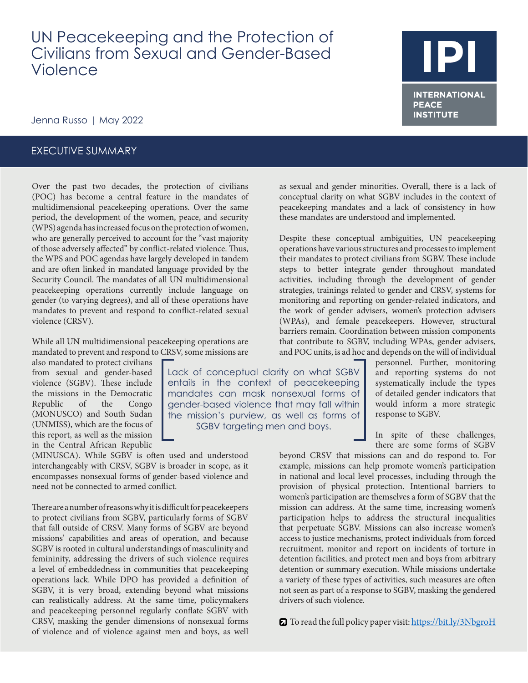# UN Peacekeeping and the Protection of Civilians from Sexual and Gender-Based Violence

## Jenna Russo | May 2022

### EXECUTIVE SUMMARY

Over the past two decades, the protection of civilians (POC) has become a central feature in the mandates of multidimensional peacekeeping operations. Over the same period, the development of the women, peace, and security (WPS) agenda has increased focus on the protection of women, who are generally perceived to account for the "vast majority of those adversely affected" by conflict-related violence. Thus, the WPS and POC agendas have largely developed in tandem and are often linked in mandated language provided by the Security Council. The mandates of all UN multidimensional peacekeeping operations currently include language on gender (to varying degrees), and all of these operations have mandates to prevent and respond to conflict-related sexual violence (CRSV).

While all UN multidimensional peacekeeping operations are mandated to prevent and respond to CRSV, some missions are

> Lack of conceptual clarity on what SGBV entails in the context of peacekeeping mandates can mask nonsexual forms of gender-based violence that may fall within the mission's purview, as well as forms of SGBV targeting men and boys.

also mandated to protect civilians from sexual and gender-based violence (SGBV). These include the missions in the Democratic Republic of the Congo (MONUSCO) and South Sudan (UNMISS), which are the focus of this report, as well as the mission in the Central African Republic

(MINUSCA). While SGBV is often used and understood interchangeably with CRSV, SGBV is broader in scope, as it encompasses nonsexual forms of gender-based violence and need not be connected to armed conflict.

There are a number of reasons why it is difficult for peacekeepers to protect civilians from SGBV, particularly forms of SGBV that fall outside of CRSV. Many forms of SGBV are beyond missions' capabilities and areas of operation, and because SGBV is rooted in cultural understandings of masculinity and femininity, addressing the drivers of such violence requires a level of embeddedness in communities that peacekeeping operations lack. While DPO has provided a definition of SGBV, it is very broad, extending beyond what missions can realistically address. At the same time, policymakers and peacekeeping personnel regularly conflate SGBV with CRSV, masking the gender dimensions of nonsexual forms of violence and of violence against men and boys, as well as sexual and gender minorities. Overall, there is a lack of conceptual clarity on what SGBV includes in the context of peacekeeping mandates and a lack of consistency in how these mandates are understood and implemented.

Despite these conceptual ambiguities, UN peacekeeping operations have various structures and processes to implement their mandates to protect civilians from SGBV. These include steps to better integrate gender throughout mandated activities, including through the development of gender strategies, trainings related to gender and CRSV, systems for monitoring and reporting on gender-related indicators, and the work of gender advisers, women's protection advisers (WPAs), and female peacekeepers. However, structural barriers remain. Coordination between mission components that contribute to SGBV, including WPAs, gender advisers, and POC units, is ad hoc and depends on the will of individual

> personnel. Further, monitoring and reporting systems do not systematically include the types of detailed gender indicators that would inform a more strategic response to SGBV.

In spite of these challenges, there are some forms of SGBV

beyond CRSV that missions can and do respond to. For example, missions can help promote women's participation in national and local level processes, including through the provision of physical protection. Intentional barriers to women's participation are themselves a form of SGBV that the mission can address. At the same time, increasing women's participation helps to address the structural inequalities that perpetuate SGBV. Missions can also increase women's access to justice mechanisms, protect individuals from forced recruitment, monitor and report on incidents of torture in detention facilities, and protect men and boys from arbitrary detention or summary execution. While missions undertake a variety of these types of activities, such measures are often not seen as part of a response to SGBV, masking the gendered drivers of such violence.

To read the full policy paper visit:<https://bit.ly/3NbgroH>